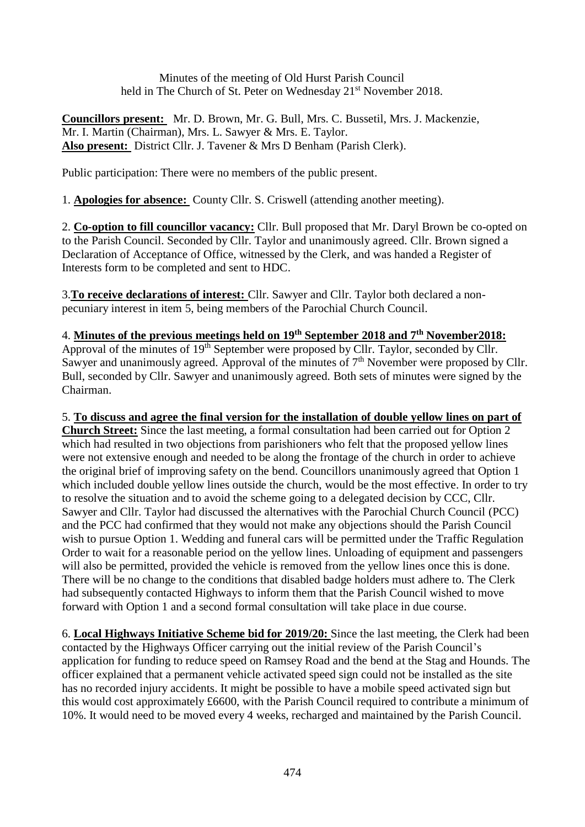Minutes of the meeting of Old Hurst Parish Council held in The Church of St. Peter on Wednesday 21<sup>st</sup> November 2018.

**Councillors present:** Mr. D. Brown, Mr. G. Bull, Mrs. C. Bussetil, Mrs. J. Mackenzie, Mr. I. Martin (Chairman), Mrs. L. Sawyer & Mrs. E. Taylor. **Also present:** District Cllr. J. Tavener & Mrs D Benham (Parish Clerk).

Public participation: There were no members of the public present.

1. **Apologies for absence:** County Cllr. S. Criswell (attending another meeting).

2. **Co-option to fill councillor vacancy:** Cllr. Bull proposed that Mr. Daryl Brown be co-opted on to the Parish Council. Seconded by Cllr. Taylor and unanimously agreed. Cllr. Brown signed a Declaration of Acceptance of Office, witnessed by the Clerk, and was handed a Register of Interests form to be completed and sent to HDC.

3.**To receive declarations of interest:** Cllr. Sawyer and Cllr. Taylor both declared a nonpecuniary interest in item 5, being members of the Parochial Church Council.

### 4. **Minutes of the previous meetings held on 19th September 2018 and 7 th November2018:**

Approval of the minutes of 19<sup>th</sup> September were proposed by Cllr. Taylor, seconded by Cllr. Sawyer and unanimously agreed. Approval of the minutes of  $7<sup>th</sup>$  November were proposed by Cllr. Bull, seconded by Cllr. Sawyer and unanimously agreed. Both sets of minutes were signed by the Chairman.

5. **To discuss and agree the final version for the installation of double yellow lines on part of Church Street:** Since the last meeting, a formal consultation had been carried out for Option 2 which had resulted in two objections from parishioners who felt that the proposed yellow lines

were not extensive enough and needed to be along the frontage of the church in order to achieve the original brief of improving safety on the bend. Councillors unanimously agreed that Option 1 which included double yellow lines outside the church, would be the most effective. In order to try to resolve the situation and to avoid the scheme going to a delegated decision by CCC, Cllr. Sawyer and Cllr. Taylor had discussed the alternatives with the Parochial Church Council (PCC) and the PCC had confirmed that they would not make any objections should the Parish Council wish to pursue Option 1. Wedding and funeral cars will be permitted under the Traffic Regulation Order to wait for a reasonable period on the yellow lines. Unloading of equipment and passengers will also be permitted, provided the vehicle is removed from the yellow lines once this is done. There will be no change to the conditions that disabled badge holders must adhere to. The Clerk had subsequently contacted Highways to inform them that the Parish Council wished to move forward with Option 1 and a second formal consultation will take place in due course.

6. **Local Highways Initiative Scheme bid for 2019/20:** Since the last meeting, the Clerk had been contacted by the Highways Officer carrying out the initial review of the Parish Council's application for funding to reduce speed on Ramsey Road and the bend at the Stag and Hounds. The officer explained that a permanent vehicle activated speed sign could not be installed as the site has no recorded injury accidents. It might be possible to have a mobile speed activated sign but this would cost approximately £6600, with the Parish Council required to contribute a minimum of 10%. It would need to be moved every 4 weeks, recharged and maintained by the Parish Council.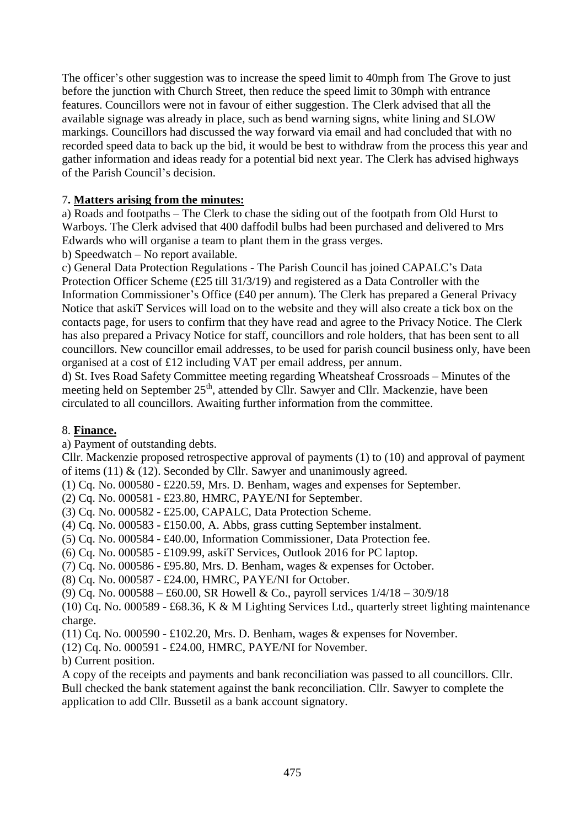The officer's other suggestion was to increase the speed limit to 40mph from The Grove to just before the junction with Church Street, then reduce the speed limit to 30mph with entrance features. Councillors were not in favour of either suggestion. The Clerk advised that all the available signage was already in place, such as bend warning signs, white lining and SLOW markings. Councillors had discussed the way forward via email and had concluded that with no recorded speed data to back up the bid, it would be best to withdraw from the process this year and gather information and ideas ready for a potential bid next year. The Clerk has advised highways of the Parish Council's decision.

# 7**. Matters arising from the minutes:**

a) Roads and footpaths – The Clerk to chase the siding out of the footpath from Old Hurst to Warboys. The Clerk advised that 400 daffodil bulbs had been purchased and delivered to Mrs Edwards who will organise a team to plant them in the grass verges.

b) Speedwatch – No report available.

c) General Data Protection Regulations - The Parish Council has joined CAPALC's Data Protection Officer Scheme (£25 till 31/3/19) and registered as a Data Controller with the Information Commissioner's Office (£40 per annum). The Clerk has prepared a General Privacy Notice that askiT Services will load on to the website and they will also create a tick box on the contacts page, for users to confirm that they have read and agree to the Privacy Notice. The Clerk has also prepared a Privacy Notice for staff, councillors and role holders, that has been sent to all councillors. New councillor email addresses, to be used for parish council business only, have been organised at a cost of £12 including VAT per email address, per annum.

d) St. Ives Road Safety Committee meeting regarding Wheatsheaf Crossroads – Minutes of the meeting held on September 25<sup>th</sup>, attended by Cllr. Sawyer and Cllr. Mackenzie, have been circulated to all councillors. Awaiting further information from the committee.

### 8. **Finance.**

a) Payment of outstanding debts.

Cllr. Mackenzie proposed retrospective approval of payments (1) to (10) and approval of payment of items (11)  $&$  (12). Seconded by Cllr. Sawyer and unanimously agreed.

(1) Cq. No. 000580 - £220.59, Mrs. D. Benham, wages and expenses for September.

(2) Cq. No. 000581 - £23.80, HMRC, PAYE/NI for September.

(3) Cq. No. 000582 - £25.00, CAPALC, Data Protection Scheme.

(4) Cq. No. 000583 - £150.00, A. Abbs, grass cutting September instalment.

(5) Cq. No. 000584 - £40.00, Information Commissioner, Data Protection fee.

(6) Cq. No. 000585 - £109.99, askiT Services, Outlook 2016 for PC laptop.

(7) Cq. No. 000586 - £95.80, Mrs. D. Benham, wages & expenses for October.

(8) Cq. No. 000587 - £24.00, HMRC, PAYE/NI for October.

(9) Cq. No. 000588 – £60.00, SR Howell & Co., payroll services 1/4/18 – 30/9/18

(10) Cq. No. 000589 - £68.36, K & M Lighting Services Ltd., quarterly street lighting maintenance charge.

(11) Cq. No. 000590 - £102.20, Mrs. D. Benham, wages & expenses for November.

(12) Cq. No. 000591 - £24.00, HMRC, PAYE/NI for November.

b) Current position.

A copy of the receipts and payments and bank reconciliation was passed to all councillors. Cllr. Bull checked the bank statement against the bank reconciliation. Cllr. Sawyer to complete the application to add Cllr. Bussetil as a bank account signatory.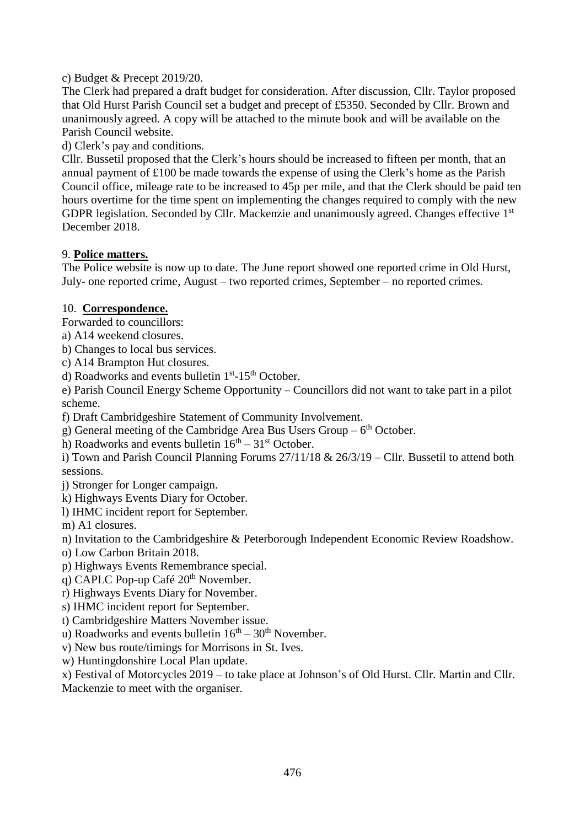c) Budget & Precept 2019/20.

The Clerk had prepared a draft budget for consideration. After discussion, Cllr. Taylor proposed that Old Hurst Parish Council set a budget and precept of £5350. Seconded by Cllr. Brown and unanimously agreed. A copy will be attached to the minute book and will be available on the Parish Council website.

d) Clerk's pay and conditions.

Cllr. Bussetil proposed that the Clerk's hours should be increased to fifteen per month, that an annual payment of £100 be made towards the expense of using the Clerk's home as the Parish Council office, mileage rate to be increased to 45p per mile, and that the Clerk should be paid ten hours overtime for the time spent on implementing the changes required to comply with the new GDPR legislation. Seconded by Cllr. Mackenzie and unanimously agreed. Changes effective 1<sup>st</sup> December 2018.

# 9. **Police matters.**

The Police website is now up to date. The June report showed one reported crime in Old Hurst, July- one reported crime, August – two reported crimes, September – no reported crimes.

# 10. **Correspondence.**

Forwarded to councillors:

a) A14 weekend closures.

b) Changes to local bus services.

c) A14 Brampton Hut closures.

d) Roadworks and events bulletin 1<sup>st</sup>-15<sup>th</sup> October.

e) Parish Council Energy Scheme Opportunity – Councillors did not want to take part in a pilot scheme.

f) Draft Cambridgeshire Statement of Community Involvement.

g) General meeting of the Cambridge Area Bus Users Group  $-6<sup>th</sup>$  October.

h) Roadworks and events bulletin  $16<sup>th</sup> - 31<sup>st</sup>$  October.

i) Town and Parish Council Planning Forums 27/11/18 & 26/3/19 – Cllr. Bussetil to attend both sessions.

j) Stronger for Longer campaign.

k) Highways Events Diary for October.

l) IHMC incident report for September.

m) A1 closures.

n) Invitation to the Cambridgeshire & Peterborough Independent Economic Review Roadshow.

o) Low Carbon Britain 2018.

p) Highways Events Remembrance special.

q) CAPLC Pop-up Café  $20<sup>th</sup>$  November.

r) Highways Events Diary for November.

s) IHMC incident report for September.

t) Cambridgeshire Matters November issue.

u) Roadworks and events bulletin  $16<sup>th</sup> - 30<sup>th</sup>$  November.

v) New bus route/timings for Morrisons in St. Ives.

w) Huntingdonshire Local Plan update.

x) Festival of Motorcycles 2019 – to take place at Johnson's of Old Hurst. Cllr. Martin and Cllr.

Mackenzie to meet with the organiser.